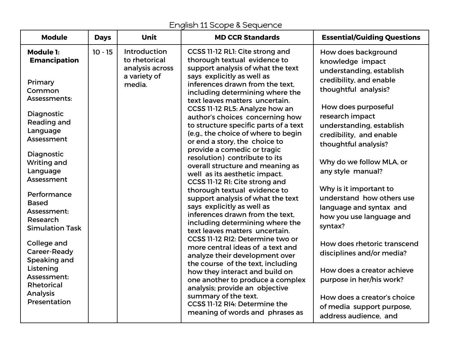## English 11 Scope & Sequence

| <b>Module</b>                                                                                                                                                                                                                                                                                                                                                                                                     | <b>Days</b> | <b>Unit</b>                                                                | <b>MD CCR Standards</b>                                                                                                                                                                                                                                                                                                                                                                                                                                                                                                                                                                                                                                                                                                                                                                                                                                                                                                                                                                                                                                                                                                                                               | <b>Essential/Guiding Questions</b>                                                                                                                                                                                                                                                                                                                                                                                                                                                                                                                                                                                                   |
|-------------------------------------------------------------------------------------------------------------------------------------------------------------------------------------------------------------------------------------------------------------------------------------------------------------------------------------------------------------------------------------------------------------------|-------------|----------------------------------------------------------------------------|-----------------------------------------------------------------------------------------------------------------------------------------------------------------------------------------------------------------------------------------------------------------------------------------------------------------------------------------------------------------------------------------------------------------------------------------------------------------------------------------------------------------------------------------------------------------------------------------------------------------------------------------------------------------------------------------------------------------------------------------------------------------------------------------------------------------------------------------------------------------------------------------------------------------------------------------------------------------------------------------------------------------------------------------------------------------------------------------------------------------------------------------------------------------------|--------------------------------------------------------------------------------------------------------------------------------------------------------------------------------------------------------------------------------------------------------------------------------------------------------------------------------------------------------------------------------------------------------------------------------------------------------------------------------------------------------------------------------------------------------------------------------------------------------------------------------------|
| Module 1:<br><b>Emancipation</b><br>Primary<br>Common<br>Assessments:<br>Diagnostic<br>Reading and<br>Language<br>Assessment<br>Diagnostic<br><b>Writing and</b><br>Language<br>Assessment<br>Performance<br><b>Based</b><br>Assessment:<br>Research<br><b>Simulation Task</b><br>College and<br>Career-Ready<br>Speaking and<br>Listening<br>Assessment:<br><b>Rhetorical</b><br><b>Analysis</b><br>Presentation | $10 - 15$   | Introduction<br>to rhetorical<br>analysis across<br>a variety of<br>media. | CCSS 11-12 RL1: Cite strong and<br>thorough textual evidence to<br>support analysis of what the text<br>says explicitly as well as<br>inferences drawn from the text.<br>including determining where the<br>text leaves matters uncertain.<br>CCSS 11-12 RL5: Analyze how an<br>author's choices concerning how<br>to structure specific parts of a text<br>(e.g., the choice of where to begin<br>or end a story, the choice to<br>provide a comedic or tragic<br>resolution) contribute to its<br>overall structure and meaning as<br>well as its aesthetic impact.<br>CCSS 11-12 RI: Cite strong and<br>thorough textual evidence to<br>support analysis of what the text<br>says explicitly as well as<br>inferences drawn from the text.<br>including determining where the<br>text leaves matters uncertain.<br>CCSS 11-12 RI2: Determine two or<br>more central ideas of a text and<br>analyze their development over<br>the course of the text, including<br>how they interact and build on<br>one another to produce a complex<br>analysis; provide an objective<br>summary of the text.<br>CCSS 11-12 RI4: Determine the<br>meaning of words and phrases as | How does background<br>knowledge impact<br>understanding, establish<br>credibility, and enable<br>thoughtful analysis?<br>How does purposeful<br>research impact<br>understanding, establish<br>credibility, and enable<br>thoughtful analysis?<br>Why do we follow MLA, or<br>any style manual?<br>Why is it important to<br>understand how others use<br>language and syntax and<br>how you use language and<br>syntax?<br>How does rhetoric transcend<br>disciplines and/or media?<br>How does a creator achieve<br>purpose in her/his work?<br>How does a creator's choice<br>of media support purpose,<br>address audience, and |
|                                                                                                                                                                                                                                                                                                                                                                                                                   |             |                                                                            |                                                                                                                                                                                                                                                                                                                                                                                                                                                                                                                                                                                                                                                                                                                                                                                                                                                                                                                                                                                                                                                                                                                                                                       |                                                                                                                                                                                                                                                                                                                                                                                                                                                                                                                                                                                                                                      |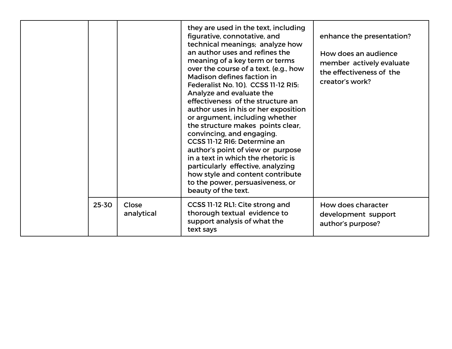|       |                     | they are used in the text, including<br>figurative, connotative, and<br>technical meanings; analyze how<br>an author uses and refines the<br>meaning of a key term or terms<br>over the course of a text. (e.g., how<br>Madison defines faction in<br>Federalist No. 10). CCSS 11-12 RI5:<br>Analyze and evaluate the<br>effectiveness of the structure an<br>author uses in his or her exposition<br>or argument, including whether<br>the structure makes points clear,<br>convincing, and engaging.<br>CCSS 11-12 RI6: Determine an<br>author's point of view or purpose<br>in a text in which the rhetoric is<br>particularly effective, analyzing<br>how style and content contribute<br>to the power, persuasiveness, or<br>beauty of the text. | enhance the presentation?<br>How does an audience<br>member actively evaluate<br>the effectiveness of the<br>creator's work? |
|-------|---------------------|-------------------------------------------------------------------------------------------------------------------------------------------------------------------------------------------------------------------------------------------------------------------------------------------------------------------------------------------------------------------------------------------------------------------------------------------------------------------------------------------------------------------------------------------------------------------------------------------------------------------------------------------------------------------------------------------------------------------------------------------------------|------------------------------------------------------------------------------------------------------------------------------|
| 25-30 | Close<br>analytical | CCSS 11-12 RL1: Cite strong and<br>thorough textual evidence to<br>support analysis of what the<br>text says                                                                                                                                                                                                                                                                                                                                                                                                                                                                                                                                                                                                                                          | How does character<br>development support<br>author's purpose?                                                               |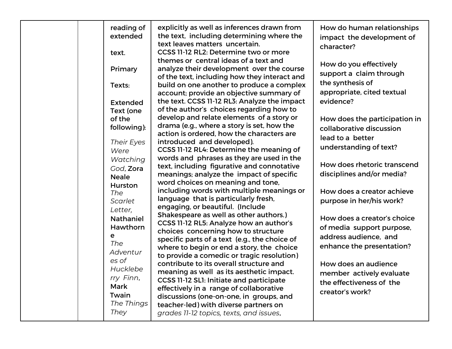| reading of<br>extended<br>text.                                                          | explicitly as well as inferences drawn from<br>the text, including determining where the<br>text leaves matters uncertain.<br>CCSS 11-12 RL2: Determine two or more                                                                                                                                                                                                                                  | How do human relationships<br>impact the development of<br>character?                                                        |
|------------------------------------------------------------------------------------------|------------------------------------------------------------------------------------------------------------------------------------------------------------------------------------------------------------------------------------------------------------------------------------------------------------------------------------------------------------------------------------------------------|------------------------------------------------------------------------------------------------------------------------------|
| Primary<br>Texts:<br><b>Extended</b>                                                     | themes or central ideas of a text and<br>analyze their development over the course<br>of the text, including how they interact and<br>build on one another to produce a complex<br>account; provide an objective summary of<br>the text. CCSS 11-12 RL3: Analyze the impact                                                                                                                          | How do you effectively<br>support a claim through<br>the synthesis of<br>appropriate, cited textual<br>evidence?             |
| Text (one<br>of the<br>following):<br>Their Eyes<br>Were                                 | of the author's choices regarding how to<br>develop and relate elements of a story or<br>drama (e.g., where a story is set, how the<br>action is ordered, how the characters are<br>introduced and developed).<br>CCSS 11-12 RL4: Determine the meaning of                                                                                                                                           | How does the participation in<br>collaborative discussion<br>lead to a better<br>understanding of text?                      |
| Watching<br>God, Zora<br><b>Neale</b><br><b>Hurston</b><br>The                           | words and phrases as they are used in the<br>text, including figurative and connotative<br>meanings; analyze the impact of specific<br>word choices on meaning and tone,<br>including words with multiple meanings or                                                                                                                                                                                | How does rhetoric transcend<br>disciplines and/or media?<br>How does a creator achieve                                       |
| Scarlet<br>Letter,<br><b>Nathaniel</b><br>Hawthorn<br>е<br>The                           | language that is particularly fresh,<br>engaging, or beautiful. (Include<br>Shakespeare as well as other authors.)<br>CCSS 11-12 RL5: Analyze how an author's<br>choices concerning how to structure<br>specific parts of a text (e.g., the choice of                                                                                                                                                | purpose in her/his work?<br>How does a creator's choice<br>of media support purpose,<br>address audience, and                |
| Adventur<br>es of<br>Hucklebe<br>rry Finn,<br><b>Mark</b><br>Twain<br>The Things<br>They | where to begin or end a story, the choice<br>to provide a comedic or tragic resolution)<br>contribute to its overall structure and<br>meaning as well as its aesthetic impact.<br>CCSS 11-12 SL1: Initiate and participate<br>effectively in a range of collaborative<br>discussions (one-on-one, in groups, and<br>teacher-led) with diverse partners on<br>grades 11-12 topics, texts, and issues, | enhance the presentation?<br>How does an audience<br>member actively evaluate<br>the effectiveness of the<br>creator's work? |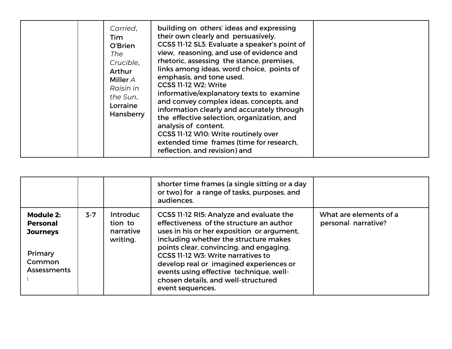|  | Carried,<br>Tim<br>O'Brien<br>The<br>Crucible,<br>Arthur<br>Miller $A$<br>Raisin in<br>the Sun,<br>Lorraine<br>Hansberry | building on others' ideas and expressing<br>their own clearly and persuasively.<br>CCSS 11-12 SL3: Evaluate a speaker's point of<br>view, reasoning, and use of evidence and<br>rhetoric, assessing the stance, premises,<br>links among ideas, word choice, points of<br>emphasis, and tone used.<br>CCSS 11-12 W2: Write<br>informative/explanatory texts to examine<br>and convey complex ideas, concepts, and<br>information clearly and accurately through<br>the effective selection, organization, and<br>analysis of content.<br>CCSS 11-12 W10: Write routinely over<br>extended time frames (time for research,<br>reflection, and revision) and |  |
|--|--------------------------------------------------------------------------------------------------------------------------|------------------------------------------------------------------------------------------------------------------------------------------------------------------------------------------------------------------------------------------------------------------------------------------------------------------------------------------------------------------------------------------------------------------------------------------------------------------------------------------------------------------------------------------------------------------------------------------------------------------------------------------------------------|--|
|--|--------------------------------------------------------------------------------------------------------------------------|------------------------------------------------------------------------------------------------------------------------------------------------------------------------------------------------------------------------------------------------------------------------------------------------------------------------------------------------------------------------------------------------------------------------------------------------------------------------------------------------------------------------------------------------------------------------------------------------------------------------------------------------------------|--|

|                                                                                            |         |                                                     | shorter time frames (a single sitting or a day<br>or two) for a range of tasks, purposes, and<br>audiences.                                                                                                                                                                                                                                                                                                   |                                               |
|--------------------------------------------------------------------------------------------|---------|-----------------------------------------------------|---------------------------------------------------------------------------------------------------------------------------------------------------------------------------------------------------------------------------------------------------------------------------------------------------------------------------------------------------------------------------------------------------------------|-----------------------------------------------|
| Module 2:<br><b>Personal</b><br><b>Journeys</b><br>Primary<br>Common<br><b>Assessments</b> | $3 - 7$ | <b>Introduc</b><br>tion to<br>narrative<br>writing. | CCSS 11-12 RI5: Analyze and evaluate the<br>effectiveness of the structure an author<br>uses in his or her exposition or argument,<br>including whether the structure makes<br>points clear, convincing, and engaging.<br>CCSS 11-12 W3: Write narratives to<br>develop real or imagined experiences or<br>events using effective technique, well-<br>chosen details, and well-structured<br>event sequences. | What are elements of a<br>personal narrative? |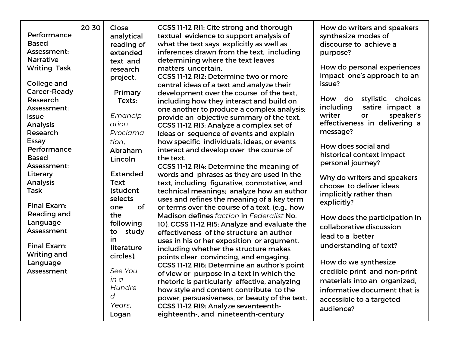| Performance<br><b>Based</b><br>Assessment:<br><b>Narrative</b><br><b>Writing Task</b><br>College and<br>Career-Ready<br>Research<br>Assessment:<br><b>Issue</b><br><b>Analysis</b><br>Research<br><b>Essay</b><br>Performance<br><b>Based</b><br>Assessment:<br>Literary<br>Analysis<br>Task<br><b>Final Exam:</b><br>Reading and<br>Language<br>Assessment<br><b>Final Exam:</b><br><b>Writing and</b><br>Language<br>Assessment | 20-30 | Close<br>analytical<br>reading of<br>extended<br>text and<br>research<br>project.<br>Primary<br>Texts:<br>Emancip<br>ation<br>Proclama<br>tion.<br>Abraham<br>Lincoln<br><b>Extended</b><br><b>Text</b><br>(student<br>selects<br><b>of</b><br>one<br>the<br>following<br>study<br>to<br>in<br>literature<br>circles):<br>See You<br>in a | CCSS 11-12 RI1: Cite strong and thorough<br>textual evidence to support analysis of<br>what the text says explicitly as well as<br>inferences drawn from the text, including<br>determining where the text leaves<br>matters uncertain.<br>CCSS 11-12 RI2: Determine two or more<br>central ideas of a text and analyze their<br>development over the course of the text,<br>including how they interact and build on<br>one another to produce a complex analysis;<br>provide an objective summary of the text.<br>CCSS 11-12 RI3: Analyze a complex set of<br>ideas or sequence of events and explain<br>how specific individuals, ideas, or events<br>interact and develop over the course of<br>the text.<br>CCSS 11-12 RI4: Determine the meaning of<br>words and phrases as they are used in the<br>text, including figurative, connotative, and<br>technical meanings; analyze how an author<br>uses and refines the meaning of a key term<br>or terms over the course of a text. (e.g., how<br>Madison defines faction in Federalist No.<br>10). CCSS 11-12 RI5: Analyze and evaluate the<br>effectiveness of the structure an author<br>uses in his or her exposition or argument,<br>including whether the structure makes<br>points clear, convincing, and engaging.<br>CCSS 11-12 RI6: Determine an author's point<br>of view or purpose in a text in which the<br>rhetoric is particularly effective, analyzing | How do writers and speakers<br>synthesize modes of<br>discourse to achieve a<br>purpose?<br>How do personal experiences<br>impact one's approach to an<br>issue?<br>stylistic<br>choices<br>How<br>do<br>including<br>satire impact a<br>speaker's<br>writer<br>or<br>effectiveness in delivering a<br>message?<br>How does social and<br>historical context impact<br>personal journey?<br>Why do writers and speakers<br>choose to deliver ideas<br>implicitly rather than<br>explicitly?<br>How does the participation in<br>collaborative discussion<br>lead to a better<br>understanding of text?<br>How do we synthesize<br>credible print and non-print<br>materials into an organized, |
|-----------------------------------------------------------------------------------------------------------------------------------------------------------------------------------------------------------------------------------------------------------------------------------------------------------------------------------------------------------------------------------------------------------------------------------|-------|-------------------------------------------------------------------------------------------------------------------------------------------------------------------------------------------------------------------------------------------------------------------------------------------------------------------------------------------|------------------------------------------------------------------------------------------------------------------------------------------------------------------------------------------------------------------------------------------------------------------------------------------------------------------------------------------------------------------------------------------------------------------------------------------------------------------------------------------------------------------------------------------------------------------------------------------------------------------------------------------------------------------------------------------------------------------------------------------------------------------------------------------------------------------------------------------------------------------------------------------------------------------------------------------------------------------------------------------------------------------------------------------------------------------------------------------------------------------------------------------------------------------------------------------------------------------------------------------------------------------------------------------------------------------------------------------------------------------------------------------------------------------------------|------------------------------------------------------------------------------------------------------------------------------------------------------------------------------------------------------------------------------------------------------------------------------------------------------------------------------------------------------------------------------------------------------------------------------------------------------------------------------------------------------------------------------------------------------------------------------------------------------------------------------------------------------------------------------------------------|
|                                                                                                                                                                                                                                                                                                                                                                                                                                   |       | Hundre<br>d<br>Years,                                                                                                                                                                                                                                                                                                                     | how style and content contribute to the<br>power, persuasiveness, or beauty of the text.<br>CCSS 11-12 RI9: Analyze seventeenth-                                                                                                                                                                                                                                                                                                                                                                                                                                                                                                                                                                                                                                                                                                                                                                                                                                                                                                                                                                                                                                                                                                                                                                                                                                                                                             | informative document that is<br>accessible to a targeted                                                                                                                                                                                                                                                                                                                                                                                                                                                                                                                                                                                                                                       |
|                                                                                                                                                                                                                                                                                                                                                                                                                                   |       | Logan                                                                                                                                                                                                                                                                                                                                     | eighteenth-, and nineteenth-century                                                                                                                                                                                                                                                                                                                                                                                                                                                                                                                                                                                                                                                                                                                                                                                                                                                                                                                                                                                                                                                                                                                                                                                                                                                                                                                                                                                          | audience?                                                                                                                                                                                                                                                                                                                                                                                                                                                                                                                                                                                                                                                                                      |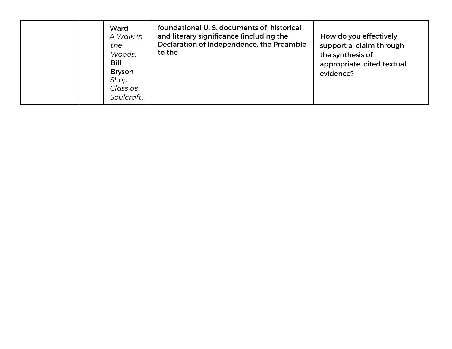|  | Ward<br>A Walk in<br>the<br>Woods,<br>Bill<br><b>Bryson</b><br>Shop<br>Class as<br>Soulcraft, | foundational U.S. documents of historical<br>and literary significance (including the<br>Declaration of Independence, the Preamble<br>to the | How do you effectively<br>support a claim through<br>the synthesis of<br>appropriate, cited textual<br>evidence? |
|--|-----------------------------------------------------------------------------------------------|----------------------------------------------------------------------------------------------------------------------------------------------|------------------------------------------------------------------------------------------------------------------|
|--|-----------------------------------------------------------------------------------------------|----------------------------------------------------------------------------------------------------------------------------------------------|------------------------------------------------------------------------------------------------------------------|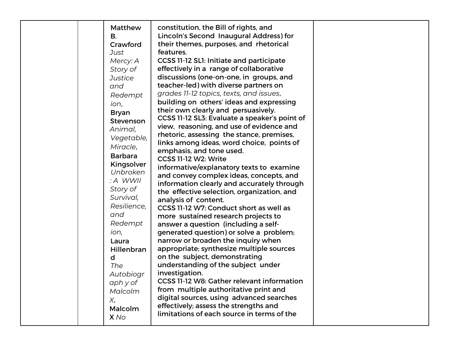|  | <b>Matthew</b><br><b>B.</b><br>Crawford<br>Just<br>Mercy: A<br>Story of<br><b>Justice</b><br>and<br>Redempt<br>ion,<br><b>Bryan</b><br>Stevenson<br>Animal,<br>Vegetable,<br>Miracle,<br><b>Barbara</b><br>Kingsolver<br>Unbroken<br>: A WWII<br>Story of<br>Survival,<br>Resilience,<br>and<br>Redempt<br>ion,<br>Laura<br>Hillenbran<br>d<br><b>The</b><br>Autobiogr<br>aph y of<br>Malcolm<br>X,<br>Malcolm<br>X No | constitution, the Bill of rights, and<br>Lincoln's Second Inaugural Address) for<br>their themes, purposes, and rhetorical<br>features.<br>CCSS 11-12 SL1: Initiate and participate<br>effectively in a range of collaborative<br>discussions (one-on-one, in groups, and<br>teacher-led) with diverse partners on<br>grades 11-12 topics, texts, and issues,<br>building on others' ideas and expressing<br>their own clearly and persuasively.<br>CCSS 11-12 SL3: Evaluate a speaker's point of<br>view, reasoning, and use of evidence and<br>rhetoric, assessing the stance, premises,<br>links among ideas, word choice, points of<br>emphasis, and tone used.<br>CCSS 11-12 W2: Write<br>informative/explanatory texts to examine<br>and convey complex ideas, concepts, and<br>information clearly and accurately through<br>the effective selection, organization, and<br>analysis of content.<br>CCSS 11-12 W7: Conduct short as well as<br>more sustained research projects to<br>answer a question (including a self-<br>generated question) or solve a problem;<br>narrow or broaden the inquiry when<br>appropriate; synthesize multiple sources<br>on the subject, demonstrating<br>understanding of the subject under<br>investigation.<br>CCSS 11-12 W8: Gather relevant information<br>from multiple authoritative print and<br>digital sources, using advanced searches<br>effectively; assess the strengths and<br>limitations of each source in terms of the |  |
|--|------------------------------------------------------------------------------------------------------------------------------------------------------------------------------------------------------------------------------------------------------------------------------------------------------------------------------------------------------------------------------------------------------------------------|----------------------------------------------------------------------------------------------------------------------------------------------------------------------------------------------------------------------------------------------------------------------------------------------------------------------------------------------------------------------------------------------------------------------------------------------------------------------------------------------------------------------------------------------------------------------------------------------------------------------------------------------------------------------------------------------------------------------------------------------------------------------------------------------------------------------------------------------------------------------------------------------------------------------------------------------------------------------------------------------------------------------------------------------------------------------------------------------------------------------------------------------------------------------------------------------------------------------------------------------------------------------------------------------------------------------------------------------------------------------------------------------------------------------------------------------------------------------------------|--|
|--|------------------------------------------------------------------------------------------------------------------------------------------------------------------------------------------------------------------------------------------------------------------------------------------------------------------------------------------------------------------------------------------------------------------------|----------------------------------------------------------------------------------------------------------------------------------------------------------------------------------------------------------------------------------------------------------------------------------------------------------------------------------------------------------------------------------------------------------------------------------------------------------------------------------------------------------------------------------------------------------------------------------------------------------------------------------------------------------------------------------------------------------------------------------------------------------------------------------------------------------------------------------------------------------------------------------------------------------------------------------------------------------------------------------------------------------------------------------------------------------------------------------------------------------------------------------------------------------------------------------------------------------------------------------------------------------------------------------------------------------------------------------------------------------------------------------------------------------------------------------------------------------------------------------|--|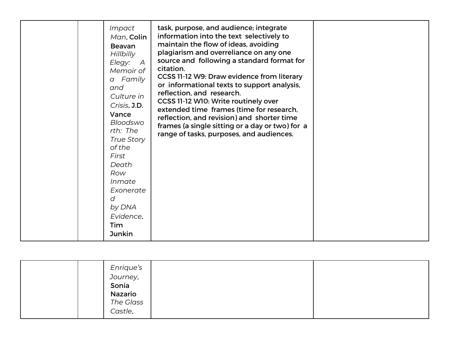|  | Impact<br>Man, Colin<br><b>Beavan</b><br><b>Hillbilly</b><br>Elegy:<br>A<br>Memoir of<br>a Family<br>and<br>Culture in<br>Crisis, J.D.<br>Vance<br>Bloodswo<br>rth: The<br><b>True Story</b><br>of the<br>First<br>Death<br>Row<br>Inmate<br>Exonerate<br>d<br>by DNA<br>Evidence,<br><b>Tim</b><br><b>Junkin</b> | task, purpose, and audience; integrate<br>information into the text selectively to<br>maintain the flow of ideas, avoiding<br>plagiarism and overreliance on any one<br>source and following a standard format for<br>citation.<br>CCSS 11-12 W9: Draw evidence from literary<br>or informational texts to support analysis,<br>reflection, and research.<br>CCSS 11-12 W10: Write routinely over<br>extended time frames (time for research,<br>reflection, and revision) and shorter time<br>frames (a single sitting or a day or two) for a<br>range of tasks, purposes, and audiences. |  |
|--|-------------------------------------------------------------------------------------------------------------------------------------------------------------------------------------------------------------------------------------------------------------------------------------------------------------------|--------------------------------------------------------------------------------------------------------------------------------------------------------------------------------------------------------------------------------------------------------------------------------------------------------------------------------------------------------------------------------------------------------------------------------------------------------------------------------------------------------------------------------------------------------------------------------------------|--|
|--|-------------------------------------------------------------------------------------------------------------------------------------------------------------------------------------------------------------------------------------------------------------------------------------------------------------------|--------------------------------------------------------------------------------------------------------------------------------------------------------------------------------------------------------------------------------------------------------------------------------------------------------------------------------------------------------------------------------------------------------------------------------------------------------------------------------------------------------------------------------------------------------------------------------------------|--|

| Enrique's<br>Journey,<br>Sonia<br>Nazario<br>The Glass |
|--------------------------------------------------------|
| Castle,                                                |